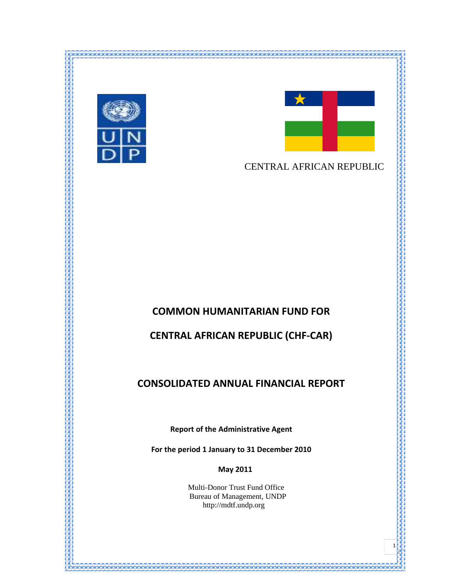

的复数人名英格兰人姓氏英格兰人姓氏英格兰人姓氏英格兰人姓氏英格兰人姓氏英格兰人姓氏英格兰人姓氏英格兰人姓氏英格兰人姓氏英格兰人姓氏英格兰人姓氏英格兰人姓氏英格兰人姓氏英格兰人姓氏英格兰人姓氏英格兰人姓氏英格兰人姓氏英格兰人姓氏英格兰人姓氏英格兰人姓氏英格兰人姓氏英格兰人姓氏英格兰人姓氏英格兰人姓氏英格兰人姓氏英格兰人姓氏英格兰人姓氏英格兰人姓氏英格兰人姓氏英格兰人姓氏



## CENTRAL AFRICAN REPUBLIC

## **COMMON HUMANITARIAN FUND FOR**

<u>e e este este este este este este e</u>

# **CENTRAL AFRICAN REPUBLIC (CHF‐CAR)**

## **CONSOLIDATED ANNUAL FINANCIAL REPORT**

**Report of the Administrative Agent**

**For the period 1 January to 31 December 2010**

 **May 2011**

Multi-Donor Trust Fund Office Bureau of Management, UNDP http://mdtf.undp.org

 $\begin{array}{|c|c|c|c|c|}\n \hline\n 1\n \end{array}$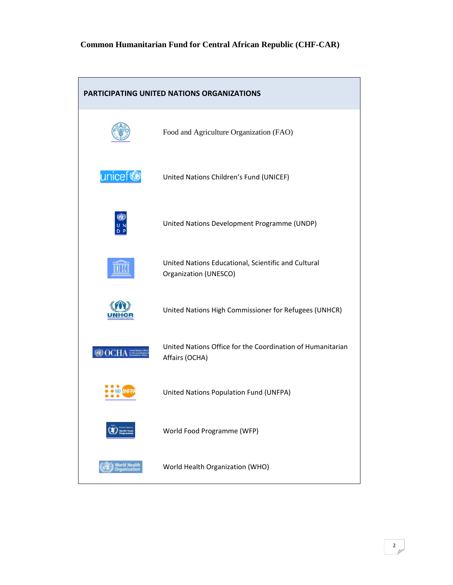## **Common Humanitarian Fund for Central African Republic (CHF-CAR)**

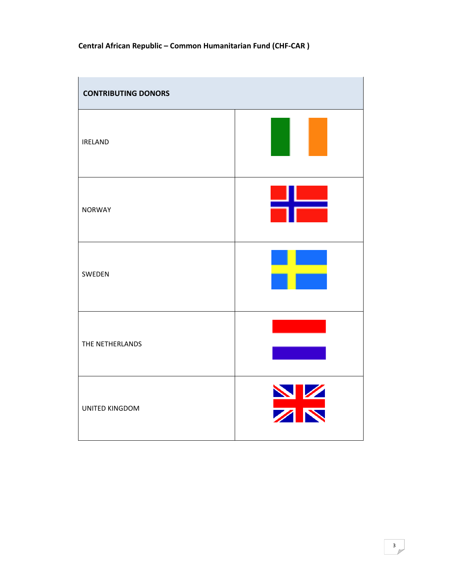| <b>CONTRIBUTING DONORS</b> |          |
|----------------------------|----------|
| <b>IRELAND</b>             |          |
| <b>NORWAY</b>              |          |
| SWEDEN                     |          |
| THE NETHERLANDS            |          |
| UNITED KINGDOM             | NZ<br>ZN |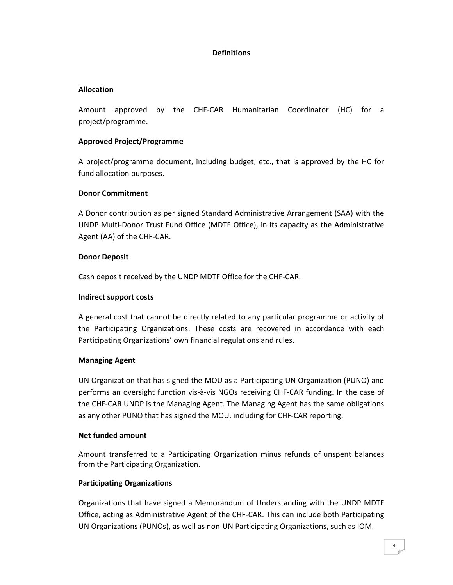#### **Definitions**

#### **Allocation**

Amount approved by the CHF‐CAR Humanitarian Coordinator (HC) for a project/programme.

## **Approved Project/Programme**

A project/programme document, including budget, etc., that is approved by the HC for fund allocation purposes.

### **Donor Commitment**

A Donor contribution as per signed Standard Administrative Arrangement (SAA) with the UNDP Multi‐Donor Trust Fund Office (MDTF Office), in its capacity as the Administrative Agent (AA) of the CHF‐CAR.

### **Donor Deposit**

Cash deposit received by the UNDP MDTF Office for the CHF‐CAR.

#### **Indirect support costs**

A general cost that cannot be directly related to any particular programme or activity of the Participating Organizations. These costs are recovered in accordance with each Participating Organizations' own financial regulations and rules.

## **Managing Agent**

UN Organization that has signed the MOU as a Participating UN Organization (PUNO) and performs an oversight function vis‐à‐vis NGOs receiving CHF‐CAR funding. In the case of the CHF‐CAR UNDP is the Managing Agent. The Managing Agent has the same obligations as any other PUNO that has signed the MOU, including for CHF‐CAR reporting.

#### **Net funded amount**

Amount transferred to a Participating Organization minus refunds of unspent balances from the Participating Organization.

## **Participating Organizations**

Organizations that have signed a Memorandum of Understanding with the UNDP MDTF Office, acting as Administrative Agent of the CHF‐CAR. This can include both Participating UN Organizations (PUNOs), as well as non‐UN Participating Organizations, such as IOM.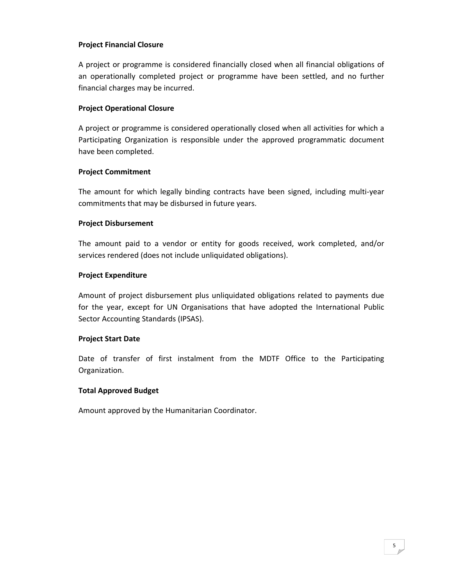### **Project Financial Closure**

A project or programme is considered financially closed when all financial obligations of an operationally completed project or programme have been settled, and no further financial charges may be incurred.

### **Project Operational Closure**

A project or programme is considered operationally closed when all activities for which a Participating Organization is responsible under the approved programmatic document have been completed.

#### **Project Commitment**

The amount for which legally binding contracts have been signed, including multi‐year commitments that may be disbursed in future years.

#### **Project Disbursement**

The amount paid to a vendor or entity for goods received, work completed, and/or services rendered (does not include unliquidated obligations).

#### **Project Expenditure**

Amount of project disbursement plus unliquidated obligations related to payments due for the year, except for UN Organisations that have adopted the International Public Sector Accounting Standards (IPSAS).

#### **Project Start Date**

Date of transfer of first instalment from the MDTF Office to the Participating Organization.

#### **Total Approved Budget**

Amount approved by the Humanitarian Coordinator.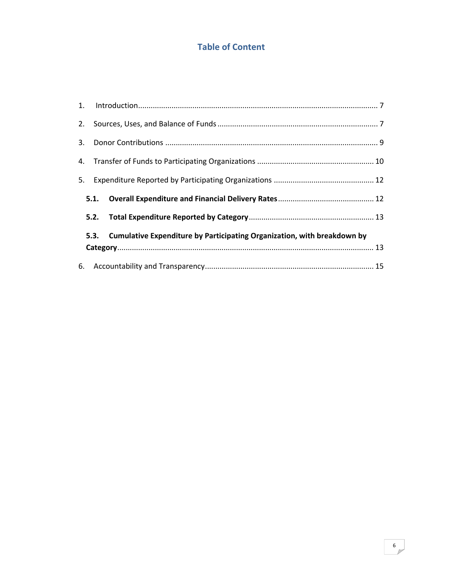## **Table of Content**

| 5. |                                                                              |  |
|----|------------------------------------------------------------------------------|--|
|    |                                                                              |  |
|    |                                                                              |  |
|    | 5.3. Cumulative Expenditure by Participating Organization, with breakdown by |  |
|    |                                                                              |  |
|    |                                                                              |  |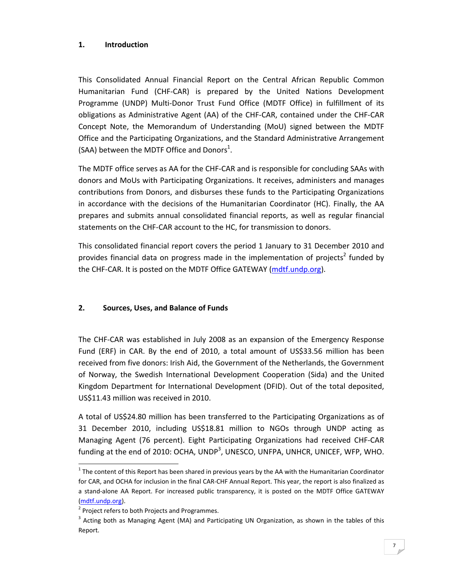#### **1. Introduction**

This Consolidated Annual Financial Report on the Central African Republic Common Humanitarian Fund (CHF‐CAR) is prepared by the United Nations Development Programme (UNDP) Multi‐Donor Trust Fund Office (MDTF Office) in fulfillment of its obligations as Administrative Agent (AA) of the CHF‐CAR, contained under the CHF‐CAR Concept Note, the Memorandum of Understanding (MoU) signed between the MDTF Office and the Participating Organizations, and the Standard Administrative Arrangement (SAA) between the MDTF Office and Donors<sup>1</sup>.

The MDTF office serves as AA for the CHF‐CAR and is responsible for concluding SAAs with donors and MoUs with Participating Organizations. It receives, administers and manages contributions from Donors, and disburses these funds to the Participating Organizations in accordance with the decisions of the Humanitarian Coordinator (HC). Finally, the AA prepares and submits annual consolidated financial reports, as well as regular financial statements on the CHF‐CAR account to the HC, for transmission to donors.

This consolidated financial report covers the period 1 January to 31 December 2010 and provides financial data on progress made in the implementation of projects<sup>2</sup> funded by the CHF‐CAR. It is posted on the MDTF Office GATEWAY (mdtf.undp.org).

## **2. Sources, Uses, and Balance of Funds**

The CHF‐CAR was established in July 2008 as an expansion of the Emergency Response Fund (ERF) in CAR. By the end of 2010, a total amount of US\$33.56 million has been received from five donors: Irish Aid, the Government of the Netherlands, the Government of Norway, the Swedish International Development Cooperation (Sida) and the United Kingdom Department for International Development (DFID). Out of the total deposited, US\$11.43 million was received in 2010.

A total of US\$24.80 million has been transferred to the Participating Organizations as of 31 December 2010, including US\$18.81 million to NGOs through UNDP acting as Managing Agent (76 percent). Eight Participating Organizations had received CHF‐CAR funding at the end of 2010: OCHA, UNDP<sup>3</sup>, UNESCO, UNFPA, UNHCR, UNICEF, WFP, WHO.

 $1$  The content of this Report has been shared in previous years by the AA with the Humanitarian Coordinator for CAR, and OCHA for inclusion in the final CAR‐CHF Annual Report. This year, the report is also finalized as a stand‐alone AA Report. For increased public transparency, it is posted on the MDTF Office GATEWAY (mdtf.undp.org).

<sup>&</sup>lt;sup>2</sup> Project refers to both Projects and Programmes.

 $3$  Acting both as Managing Agent (MA) and Participating UN Organization, as shown in the tables of this Report.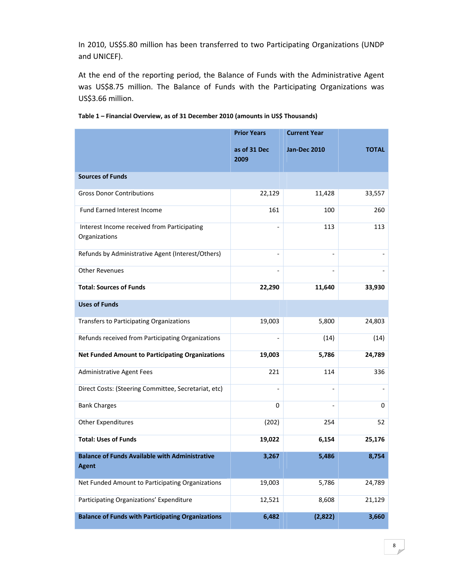In 2010, US\$5.80 million has been transferred to two Participating Organizations (UNDP and UNICEF).

At the end of the reporting period, the Balance of Funds with the Administrative Agent was US\$8.75 million. The Balance of Funds with the Participating Organizations was US\$3.66 million.

|                                                                       | <b>Prior Years</b>       | <b>Current Year</b> |              |
|-----------------------------------------------------------------------|--------------------------|---------------------|--------------|
|                                                                       | as of 31 Dec<br>2009     | <b>Jan-Dec 2010</b> | <b>TOTAL</b> |
| <b>Sources of Funds</b>                                               |                          |                     |              |
| <b>Gross Donor Contributions</b>                                      | 22,129                   | 11,428              | 33,557       |
| Fund Earned Interest Income                                           | 161                      | 100                 | 260          |
| Interest Income received from Participating<br>Organizations          |                          | 113                 | 113          |
| Refunds by Administrative Agent (Interest/Others)                     | $\overline{\phantom{0}}$ |                     |              |
| <b>Other Revenues</b>                                                 | $\overline{a}$           | $\sim$              |              |
| <b>Total: Sources of Funds</b>                                        | 22,290                   | 11,640              | 33,930       |
| <b>Uses of Funds</b>                                                  |                          |                     |              |
| Transfers to Participating Organizations                              | 19,003                   | 5,800               | 24,803       |
| Refunds received from Participating Organizations                     |                          | (14)                | (14)         |
| <b>Net Funded Amount to Participating Organizations</b>               | 19,003                   | 5,786               | 24,789       |
| Administrative Agent Fees                                             | 221                      | 114                 | 336          |
| Direct Costs: (Steering Committee, Secretariat, etc)                  | $\overline{\phantom{a}}$ |                     |              |
| <b>Bank Charges</b>                                                   | 0                        |                     | 0            |
| <b>Other Expenditures</b>                                             | (202)                    | 254                 | 52           |
| <b>Total: Uses of Funds</b>                                           | 19,022                   | 6,154               | 25,176       |
| <b>Balance of Funds Available with Administrative</b><br><b>Agent</b> | 3,267                    | 5,486               | 8,754        |
| Net Funded Amount to Participating Organizations                      | 19,003                   | 5,786               | 24,789       |
| Participating Organizations' Expenditure                              | 12,521                   | 8,608               | 21,129       |
| <b>Balance of Funds with Participating Organizations</b>              | 6,482                    | (2,822)             | 3,660        |

**Table 1 – Financial Overview, as of 31 December 2010 (amounts in US\$ Thousands)**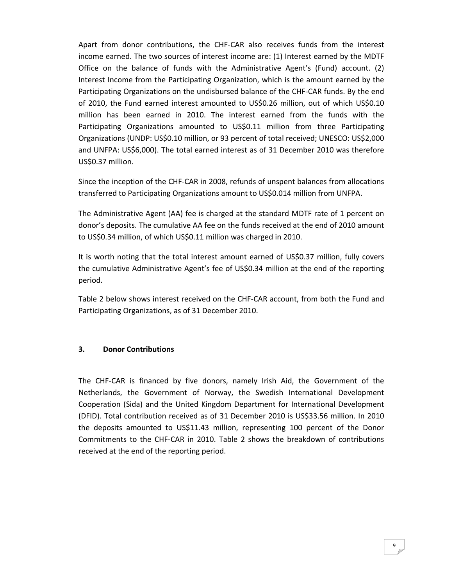Apart from donor contributions, the CHF‐CAR also receives funds from the interest income earned. The two sources of interest income are: (1) Interest earned by the MDTF Office on the balance of funds with the Administrative Agent's (Fund) account. (2) Interest Income from the Participating Organization, which is the amount earned by the Participating Organizations on the undisbursed balance of the CHF‐CAR funds. By the end of 2010, the Fund earned interest amounted to US\$0.26 million, out of which US\$0.10 million has been earned in 2010. The interest earned from the funds with the Participating Organizations amounted to US\$0.11 million from three Participating Organizations (UNDP: US\$0.10 million, or 93 percent of total received; UNESCO: US\$2,000 and UNFPA: US\$6,000). The total earned interest as of 31 December 2010 was therefore US\$0.37 million.

Since the inception of the CHF‐CAR in 2008, refunds of unspent balances from allocations transferred to Participating Organizations amount to US\$0.014 million from UNFPA.

The Administrative Agent (AA) fee is charged at the standard MDTF rate of 1 percent on donor's deposits. The cumulative AA fee on the funds received at the end of 2010 amount to US\$0.34 million, of which US\$0.11 million was charged in 2010.

It is worth noting that the total interest amount earned of US\$0.37 million, fully covers the cumulative Administrative Agent's fee of US\$0.34 million at the end of the reporting period.

Table 2 below shows interest received on the CHF‐CAR account, from both the Fund and Participating Organizations, as of 31 December 2010.

#### **3. Donor Contributions**

The CHF‐CAR is financed by five donors, namely Irish Aid, the Government of the Netherlands, the Government of Norway, the Swedish International Development Cooperation (Sida) and the United Kingdom Department for International Development (DFID). Total contribution received as of 31 December 2010 is US\$33.56 million. In 2010 the deposits amounted to US\$11.43 million, representing 100 percent of the Donor Commitments to the CHF‐CAR in 2010. Table 2 shows the breakdown of contributions received at the end of the reporting period.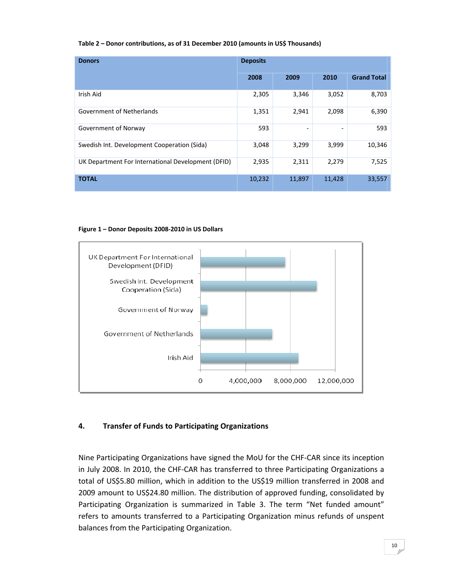#### **Table 2 – Donor contributions, as of 31 December 2010 (amounts in US\$ Thousands)**

| <b>Donors</b>                                      | <b>Deposits</b> |        |        |                    |  |  |  |  |
|----------------------------------------------------|-----------------|--------|--------|--------------------|--|--|--|--|
|                                                    | 2008            | 2009   | 2010   | <b>Grand Total</b> |  |  |  |  |
| Irish Aid                                          | 2,305           | 3,346  | 3,052  | 8,703              |  |  |  |  |
| Government of Netherlands                          | 1,351           | 2,941  | 2,098  | 6,390              |  |  |  |  |
| Government of Norway                               | 593             | -      |        | 593                |  |  |  |  |
| Swedish Int. Development Cooperation (Sida)        | 3,048           | 3,299  | 3,999  | 10,346             |  |  |  |  |
| UK Department For International Development (DFID) | 2,935           | 2,311  | 2,279  | 7,525              |  |  |  |  |
| <b>TOTAL</b>                                       | 10,232          | 11,897 | 11,428 | 33,557             |  |  |  |  |

**Figure 1 – Donor Deposits 2008‐2010 in US Dollars** 



## **4. Transfer of Funds to Participating Organizations**

Nine Participating Organizations have signed the MoU for the CHF‐CAR since its inception in July 2008. In 2010, the CHF‐CAR has transferred to three Participating Organizations a total of US\$5.80 million, which in addition to the US\$19 million transferred in 2008 and 2009 amount to US\$24.80 million. The distribution of approved funding, consolidated by Participating Organization is summarized in Table 3. The term "Net funded amount" refers to amounts transferred to a Participating Organization minus refunds of unspent balances from the Participating Organization.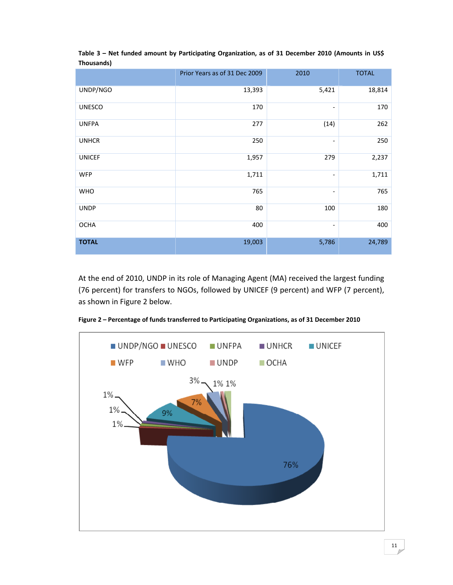|               | Prior Years as of 31 Dec 2009 | 2010                         | <b>TOTAL</b> |
|---------------|-------------------------------|------------------------------|--------------|
| UNDP/NGO      | 13,393                        | 5,421                        | 18,814       |
| <b>UNESCO</b> | 170                           |                              | 170          |
| <b>UNFPA</b>  | 277                           | (14)                         | 262          |
| <b>UNHCR</b>  | 250                           |                              | 250          |
| <b>UNICEF</b> | 1,957                         | 279                          | 2,237        |
| <b>WFP</b>    | 1,711                         | $\qquad \qquad -$            | 1,711        |
| <b>WHO</b>    | 765                           | $\qquad \qquad \blacksquare$ | 765          |
| <b>UNDP</b>   | 80                            | 100                          | 180          |
| <b>OCHA</b>   | 400                           | -                            | 400          |
| <b>TOTAL</b>  | 19,003                        | 5,786                        | 24,789       |

**Table 3 – Net funded amount by Participating Organization, as of 31 December 2010 (Amounts in US\$ Thousands)**

At the end of 2010, UNDP in its role of Managing Agent (MA) received the largest funding (76 percent) for transfers to NGOs, followed by UNICEF (9 percent) and WFP (7 percent), as shown in Figure 2 below.

**Figure 2 – Percentage of funds transferred to Participating Organizations, as of 31 December 2010**

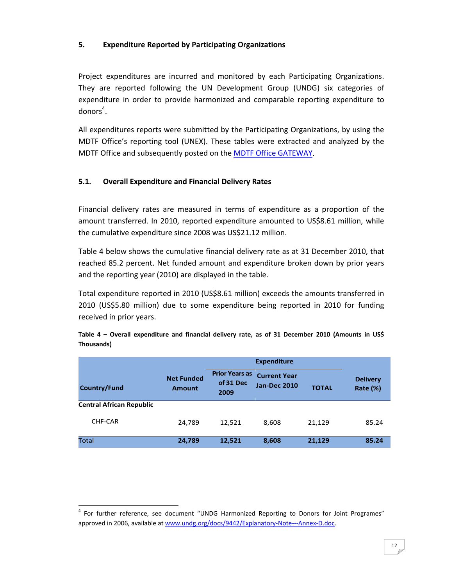## **5. Expenditure Reported by Participating Organizations**

Project expenditures are incurred and monitored by each Participating Organizations. They are reported following the UN Development Group (UNDG) six categories of expenditure in order to provide harmonized and comparable reporting expenditure to donors<sup>4</sup>.

All expenditures reports were submitted by the Participating Organizations, by using the MDTF Office's reporting tool (UNEX). These tables were extracted and analyzed by the MDTF Office and subsequently posted on the MDTF Office GATEWAY.

### **5.1. Overall Expenditure and Financial Delivery Rates**

Financial delivery rates are measured in terms of expenditure as a proportion of the amount transferred. In 2010, reported expenditure amounted to US\$8.61 million, while the cumulative expenditure since 2008 was US\$21.12 million.

Table 4 below shows the cumulative financial delivery rate as at 31 December 2010, that reached 85.2 percent. Net funded amount and expenditure broken down by prior years and the reporting year (2010) are displayed in the table.

Total expenditure reported in 2010 (US\$8.61 million) exceeds the amounts transferred in 2010 (US\$5.80 million) due to some expenditure being reported in 2010 for funding received in prior years.

| Country/Fund                    | <b>Net Funded</b><br><b>Amount</b> | <b>Prior Years as</b><br>of 31 Dec<br>2009 | <b>Current Year</b><br><b>Jan-Dec 2010</b> | <b>TOTAL</b> | <b>Delivery</b><br><b>Rate (%)</b> |
|---------------------------------|------------------------------------|--------------------------------------------|--------------------------------------------|--------------|------------------------------------|
| <b>Central African Republic</b> |                                    |                                            |                                            |              |                                    |
| CHF-CAR                         | 24,789                             | 12,521                                     | 8,608                                      | 21,129       | 85.24                              |
| <b>Total</b>                    | 24,789                             | 12,521                                     | 8,608                                      | 21,129       | 85.24                              |

| Table 4 – Overall expenditure and financial delivery rate, as of 31 December 2010 (Amounts in US\$ |  |  |  |  |  |
|----------------------------------------------------------------------------------------------------|--|--|--|--|--|
| Thousands)                                                                                         |  |  |  |  |  |

<sup>&</sup>lt;sup>4</sup> For further reference, see document "UNDG Harmonized Reporting to Donors for Joint Programes" approved in 2006, available at www.undg.org/docs/9442/Explanatory-Note---Annex-D.doc.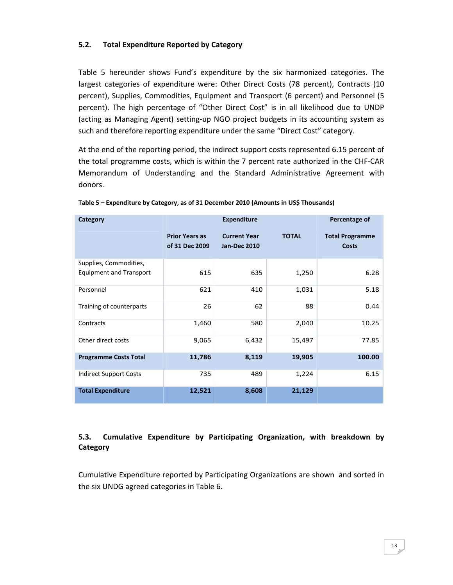## **5.2. Total Expenditure Reported by Category**

Table 5 hereunder shows Fund's expenditure by the six harmonized categories. The largest categories of expenditure were: Other Direct Costs (78 percent), Contracts (10 percent), Supplies, Commodities, Equipment and Transport (6 percent) and Personnel (5 percent). The high percentage of "Other Direct Cost" is in all likelihood due to UNDP (acting as Managing Agent) setting‐up NGO project budgets in its accounting system as such and therefore reporting expenditure under the same "Direct Cost" category.

At the end of the reporting period, the indirect support costs represented 6.15 percent of the total programme costs, which is within the 7 percent rate authorized in the CHF‐CAR Memorandum of Understanding and the Standard Administrative Agreement with donors.

| <b>Category</b>                |                                         | Percentage of                              |              |                                        |
|--------------------------------|-----------------------------------------|--------------------------------------------|--------------|----------------------------------------|
|                                | <b>Prior Years as</b><br>of 31 Dec 2009 | <b>Current Year</b><br><b>Jan-Dec 2010</b> | <b>TOTAL</b> | <b>Total Programme</b><br><b>Costs</b> |
| Supplies, Commodities,         |                                         |                                            |              |                                        |
| <b>Equipment and Transport</b> | 615                                     | 635                                        | 1,250        | 6.28                                   |
| Personnel                      | 621                                     | 410                                        | 1,031        | 5.18                                   |
| Training of counterparts       | 26                                      | 62                                         | 88           | 0.44                                   |
| Contracts                      | 1,460                                   | 580                                        | 2,040        | 10.25                                  |
| Other direct costs             | 9,065                                   | 6,432                                      | 15,497       | 77.85                                  |
| <b>Programme Costs Total</b>   | 11,786                                  | 8,119                                      | 19,905       | 100.00                                 |
| <b>Indirect Support Costs</b>  | 735                                     | 489                                        | 1,224        | 6.15                                   |
| <b>Total Expenditure</b>       | 12,521                                  | 8,608                                      | 21,129       |                                        |

**Table 5 – Expenditure by Category, as of 31 December 2010 (Amounts in US\$ Thousands)**

## **5.3. Cumulative Expenditure by Participating Organization, with breakdown by Category**

Cumulative Expenditure reported by Participating Organizations are shown and sorted in the six UNDG agreed categories in Table 6.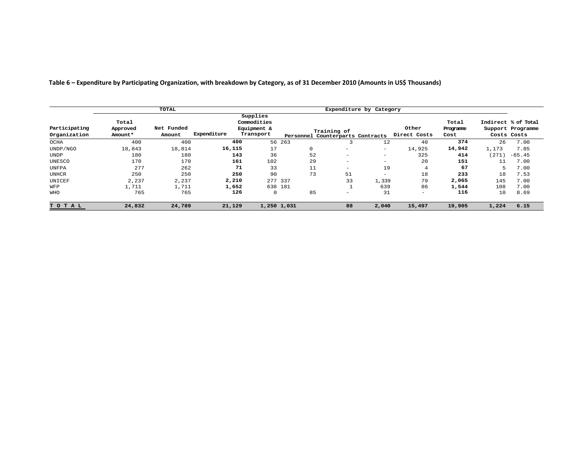| Table 6 – Expenditure by Participating Organization, with breakdown by Category, as of 31 December 2010 (Amounts in US\$ Thousands) |
|-------------------------------------------------------------------------------------------------------------------------------------|
|-------------------------------------------------------------------------------------------------------------------------------------|

|                               |                              | <b>TOTAL</b>         |             |                                                     |             |                                                 | Expenditure by Category  |                          |                            |       |                                                         |
|-------------------------------|------------------------------|----------------------|-------------|-----------------------------------------------------|-------------|-------------------------------------------------|--------------------------|--------------------------|----------------------------|-------|---------------------------------------------------------|
| Participating<br>Organization | Total<br>Approved<br>Amount* | Net Funded<br>Amount | Expenditure | supplies<br>Commodities<br>Equipment &<br>Transport |             | Training of<br>Personnel Counterparts Contracts |                          | Other<br>Direct Costs    | Total<br>Programme<br>Cost |       | Indirect % of Total<br>Support Programme<br>Costs Costs |
| OCHA                          | 400                          | 400                  | 400         |                                                     | 56 263      | .S                                              | 12                       | 40                       | 374                        | 26    | 7.00                                                    |
| UNDP/NGO                      | 18,843                       | 18,814               | 16,115      | 17                                                  | 0           | $\overline{\phantom{0}}$                        | $\overline{\phantom{0}}$ | 14,925                   | 14,942                     | 1,173 | 7.85                                                    |
| <b>UNDP</b>                   | 180                          | 180                  | 143         | 36                                                  | 52          | $\overline{\phantom{0}}$                        | $\qquad \qquad -$        | 325                      | 414                        | (271) | $-65.45$                                                |
| <b>UNESCO</b>                 | 170                          | 170                  | 161         | 102                                                 | 29          | $\overline{\phantom{0}}$                        | $\overline{\phantom{a}}$ | 20                       | 151                        | 11    | 7.00                                                    |
| <b>UNFPA</b>                  | 277                          | 262                  |             | 71<br>33                                            | 11          | -                                               | 19                       | $\overline{4}$           | 67                         | 5     | 7.00                                                    |
| <b>UNHCR</b>                  | 250                          | 250                  | 250         | 90                                                  | 73          | 51                                              | $\overline{\phantom{a}}$ | 18                       | 233                        | 18    | 7.53                                                    |
| UNICEF                        | 2,237                        | 2,237                | 2,210       | 2.77                                                | 337         | 33                                              | 1,339                    | 79                       | 2,065                      | 145   | 7.00                                                    |
| WFP                           | 1,711                        | 1,711                | 1,652       |                                                     | 638 181     |                                                 | 639                      | 86                       | 1,544                      | 108   | 7.00                                                    |
| <b>WHO</b>                    | 765                          | 765                  | 126         | O                                                   | 85          | $\overline{\phantom{0}}$                        | 31                       | $\overline{\phantom{0}}$ | 116                        | 10    | 8.69                                                    |
| TO TAL                        | 24,832                       | 24,789               | 21,129      |                                                     | 1,250 1,031 | 88                                              | 2,040                    | 15,497                   | 19,905                     | 1,224 | 6.15                                                    |